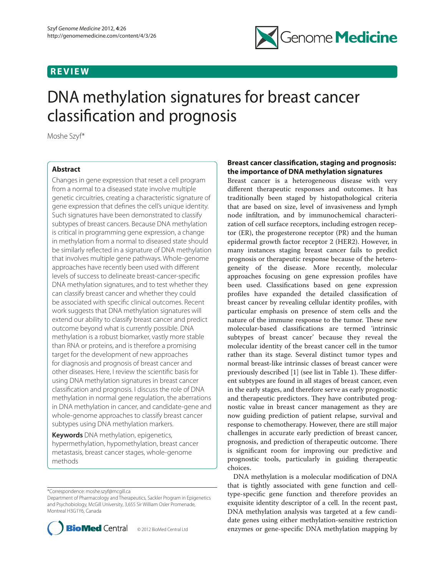## **REVIEW**



# DNA methylation signatures for breast cancer classification and prognosis

Moshe Szyf\*

## **Abstract**

Changes in gene expression that reset a cell program from a normal to a diseased state involve multiple genetic circuitries, creating a characteristic signature of gene expression that defines the cell's unique identity. Such signatures have been demonstrated to classify subtypes of breast cancers. Because DNA methylation is critical in programming gene expression, a change in methylation from a normal to diseased state should be similarly reflected in a signature of DNA methylation that involves multiple gene pathways. Whole-genome approaches have recently been used with different levels of success to delineate breast-cancer-specific DNA methylation signatures, and to test whether they can classify breast cancer and whether they could be associated with specific clinical outcomes. Recent work suggests that DNA methylation signatures will extend our ability to classify breast cancer and predict outcome beyond what is currently possible. DNA methylation is a robust biomarker, vastly more stable than RNA or proteins, and is therefore a promising target for the development of new approaches for diagnosis and prognosis of breast cancer and other diseases. Here, I review the scientific basis for using DNA methylation signatures in breast cancer classification and prognosis. I discuss the role of DNA methylation in normal gene regulation, the aberrations in DNA methylation in cancer, and candidate-gene and whole-genome approaches to classify breast cancer subtypes using DNA methylation markers.

**Keywords** DNA methylation, epigenetics, hypermethylation, hypomethylation, breast cancer metastasis, breast cancer stages, whole-genome methods

\*Correspondence: moshe.szyf@mcgill.ca

Department of Pharmacology and Therapeutics, Sackler Program in Epigenetics and Psychobiology, McGill University, 3,655 Sir William Osler Promenade, Montreal H3G1Y6, Canada



## **Breast cancer classification, staging and prognosis: the importance of DNA methylation signatures**

Breast cancer is a heterogeneous disease with very different therapeutic responses and outcomes. It has traditionally been staged by histopathological criteria that are based on size, level of invasiveness and lymph node infiltration, and by immunochemical characterization of cell surface receptors, including estrogen receptor (ER), the progesterone receptor (PR) and the human epidermal growth factor receptor 2 (HER2). However, in many instances staging breast cancer fails to predict prognosis or therapeutic response because of the heterogeneity of the disease. More recently, molecular approaches focusing on gene expression profiles have been used. Classifications based on gene expression profiles have expanded the detailed classification of breast cancer by revealing cellular identity profiles, with particular emphasis on presence of stem cells and the nature of the immune response to the tumor. These new molecular-based classifications are termed 'intrinsic subtypes of breast cancer' because they reveal the molecular identity of the breast cancer cell in the tumor rather than its stage. Several distinct tumor types and normal breast-like intrinsic classes of breast cancer were previously described  $[1]$  (see list in Table 1). These different subtypes are found in all stages of breast cancer, even in the early stages, and therefore serve as early prognostic and therapeutic predictors. They have contributed prognostic value in breast cancer management as they are now guiding prediction of patient relapse, survival and response to chemotherapy. However, there are still major challenges in accurate early prediction of breast cancer, prognosis, and prediction of therapeutic outcome. There is significant room for improving our predictive and prognostic tools, particularly in guiding therapeutic choices.

DNA methylation is a molecular modification of DNA that is tightly associated with gene function and celltype-specific gene function and therefore provides an exquisite identity descriptor of a cell. In the recent past, DNA methylation analysis was targeted at a few candidate genes using either methylation-sensitive restriction enzymes or gene-specific DNA methylation mapping by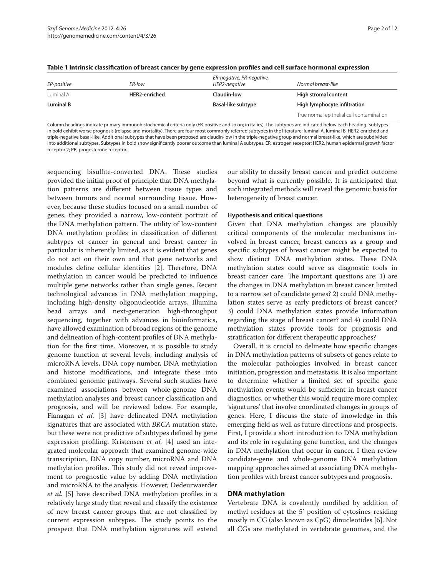| ER-positive      | ER-Iow               | ER-negative, PR-negative,<br>HER2-negative | Normal breast-like                        |  |  |
|------------------|----------------------|--------------------------------------------|-------------------------------------------|--|--|
| Luminal A        | <b>HER2-enriched</b> | <b>Claudin-low</b>                         | High stromal content                      |  |  |
| <b>Luminal B</b> |                      | Basal-like subtype                         | High lymphocyte infiltration              |  |  |
|                  |                      |                                            | True normal epithelial cell contamination |  |  |

| Table 1 Intrinsic classification of breast cancer by gene expression profiles and cell surface hormonal expression |  |  |  |  |
|--------------------------------------------------------------------------------------------------------------------|--|--|--|--|
|                                                                                                                    |  |  |  |  |

Column headings indicate primary immunohistochemical criteria only (ER-positive and so on; in italics). The subtypes are indicated below each heading. Subtypes in bold exhibit worse prognosis (relapse and mortality). There are four most commonly referred subtypes in the literature: luminal A, luminal B, HER2-enriched and triple-negative basal-like. Additional subtypes that have been proposed are claudin-low in the triple-negative group and normal breast-like, which are subdivided into additional subtypes. Subtypes in bold show significantly poorer outcome than luminal A subtypes. ER, estrogen receptor; HER2, human epidermal growth factor receptor 2; PR, progesterone receptor.

sequencing bisulfite-converted DNA. These studies provided the initial proof of principle that DNA methylation patterns are different between tissue types and between tumors and normal surrounding tissue. However, because these studies focused on a small number of genes, they provided a narrow, low-content portrait of the DNA methylation pattern. The utility of low-content DNA methylation profiles in classification of different subtypes of cancer in general and breast cancer in particular is inherently limited, as it is evident that genes do not act on their own and that gene networks and modules define cellular identities [2]. Therefore, DNA methylation in cancer would be predicted to influence multiple gene networks rather than single genes. Recent technological advances in DNA methylation mapping, including high-density oligonucleotide arrays, Illumina bead arrays and next-generation high-throughput sequencing, together with advances in bioinformatics, have allowed examination of broad regions of the genome and delineation of high-content profiles of DNA methylation for the first time. Moreover, it is possible to study genome function at several levels, including analysis of microRNA levels, DNA copy number, DNA methylation and histone modifications, and integrate these into combined genomic pathways. Several such studies have examined associations between whole-genome DNA methylation analyses and breast cancer classification and prognosis, and will be reviewed below. For example, Flanagan *et al.* [3] have delineated DNA methylation signatures that are associated with *BRCA* mutation state, but these were not predictive of subtypes defined by gene expression profiling. Kristensen *et al.* [4] used an integrated molecular approach that examined genome-wide transcription, DNA copy number, microRNA and DNA methylation profiles. This study did not reveal improvement to prognostic value by adding DNA methylation and microRNA to the analysis. However, Dedeurwaerder *et al.* [5] have described DNA methylation profiles in a relatively large study that reveal and classify the existence of new breast cancer groups that are not classified by current expression subtypes. The study points to the prospect that DNA methylation signatures will extend

our ability to classify breast cancer and predict outcome beyond what is currently possible. It is anticipated that such integrated methods will reveal the genomic basis for heterogeneity of breast cancer.

#### **Hypothesis and critical questions**

Given that DNA methylation changes are plausibly critical components of the molecular mechanisms involved in breast cancer, breast cancers as a group and specific subtypes of breast cancer might be expected to show distinct DNA methylation states. These DNA methylation states could serve as diagnostic tools in breast cancer care. The important questions are: 1) are the changes in DNA methylation in breast cancer limited to a narrow set of candidate genes? 2) could DNA methylation states serve as early predictors of breast cancer? 3) could DNA methylation states provide information regarding the stage of breast cancer? and 4) could DNA methylation states provide tools for prognosis and stratification for different therapeutic approaches?

Overall, it is crucial to delineate how specific changes in DNA methylation patterns of subsets of genes relate to the molecular pathologies involved in breast cancer initiation, progression and metastasis. It is also important to determine whether a limited set of specific gene methylation events would be sufficient in breast cancer diagnostics, or whether this would require more complex 'signatures' that involve coordinated changes in groups of genes. Here, I discuss the state of knowledge in this emerging field as well as future directions and prospects. First, I provide a short introduction to DNA methylation and its role in regulating gene function, and the changes in DNA methylation that occur in cancer. I then review candidate-gene and whole-genome DNA methylation mapping approaches aimed at associating DNA methylation profiles with breast cancer subtypes and prognosis.

#### **DNA methylation**

Vertebrate DNA is covalently modified by addition of methyl residues at the 5' position of cytosines residing mostly in CG (also known as CpG) dinucleotides [6]. Not all CGs are methylated in vertebrate genomes, and the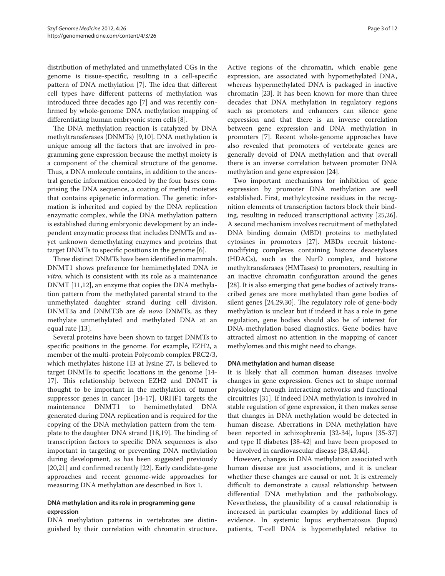distribution of methylated and unmethylated CGs in the genome is tissue-specific, resulting in a cell-specific pattern of DNA methylation [7]. The idea that different cell types have different patterns of methylation was introduced three decades ago [7] and was recently confirmed by whole-genome DNA methylation mapping of differentiating human embryonic stem cells [8].

The DNA methylation reaction is catalyzed by DNA methyltransferases (DNMTs) [9,10]. DNA methylation is unique among all the factors that are involved in programming gene expression because the methyl moiety is a component of the chemical structure of the genome. Thus, a DNA molecule contains, in addition to the ancestral genetic information encoded by the four bases comprising the DNA sequence, a coating of methyl moieties that contains epigenetic information. The genetic information is inherited and copied by the DNA replication enzymatic complex, while the DNA methylation pattern is established during embryonic development by an independent enzymatic process that includes DNMTs and asyet unknown demethylating enzymes and proteins that target DNMTs to specific positions in the genome [6].

Three distinct DNMTs have been identified in mammals. DNMT1 shows preference for hemimethylated DNA *in vitro*, which is consistent with its role as a maintenance DNMT [11,12], an enzyme that copies the DNA methylation pattern from the methylated parental strand to the unmethylated daughter strand during cell division. DNMT3a and DNMT3b are *de novo* DNMTs, as they methylate unmethylated and methylated DNA at an equal rate [13].

Several proteins have been shown to target DNMTs to specific positions in the genome. For example, EZH2, a member of the multi-protein Polycomb complex PRC2/3, which methylates histone H3 at lysine 27, is believed to target DNMTs to specific locations in the genome [14-17]. This relationship between EZH2 and DNMT is thought to be important in the methylation of tumor suppressor genes in cancer [14-17]. URHF1 targets the maintenance DNMT1 to hemimethylated DNA generated during DNA replication and is required for the copying of the DNA methylation pattern from the template to the daughter DNA strand [18,19]. The binding of transcription factors to specific DNA sequences is also important in targeting or preventing DNA methylation during development, as has been suggested previously [20,21] and confirmed recently [22]. Early candidate-gene approaches and recent genome-wide approaches for measuring DNA methylation are described in Box 1.

## **DNA methylation and its role in programming gene expression**

DNA methylation patterns in vertebrates are distinguished by their correlation with chromatin structure.

Active regions of the chromatin, which enable gene expression, are associated with hypomethylated DNA, whereas hypermethylated DNA is packaged in inactive chromatin [23]. It has been known for more than three decades that DNA methylation in regulatory regions such as promoters and enhancers can silence gene expression and that there is an inverse correlation between gene expression and DNA methylation in promoters [7]. Recent whole-genome approaches have also revealed that promoters of vertebrate genes are generally devoid of DNA methylation and that overall there is an inverse correlation between promoter DNA methylation and gene expression [24].

Two important mechanisms for inhibition of gene expression by promoter DNA methylation are well established. First, methylcytosine residues in the recognition elements of transcription factors block their binding, resulting in reduced transcriptional activity [25,26]. A second mechanism involves recruitment of methylated DNA binding domain (MBD) proteins to methylated cytosines in promoters [27]. MBDs recruit histonemodifying complexes containing histone deacetylases (HDACs), such as the NurD complex, and histone methyltransferases (HMTases) to promoters, resulting in an inactive chromatin configuration around the genes [28]. It is also emerging that gene bodies of actively transcribed genes are more methylated than gene bodies of silent genes [24,29,30]. The regulatory role of gene-body methylation is unclear but if indeed it has a role in gene regulation, gene bodies should also be of interest for DNA-methylation-based diagnostics. Gene bodies have attracted almost no attention in the mapping of cancer methylomes and this might need to change.

#### **DNA methylation and human disease**

It is likely that all common human diseases involve changes in gene expression. Genes act to shape normal physiology through interacting networks and functional circuitries [31]. If indeed DNA methylation is involved in stable regulation of gene expression, it then makes sense that changes in DNA methylation would be detected in human disease. Aberrations in DNA methylation have been reported in schizophrenia [32-34], lupus [35-37] and type II diabetes [38-42] and have been proposed to be involved in cardiovascular disease [38,43,44].

However, changes in DNA methylation associated with human disease are just associations, and it is unclear whether these changes are causal or not. It is extremely difficult to demonstrate a causal relationship between differential DNA methylation and the pathobiology. Nevertheless, the plausibility of a causal relationship is increased in particular examples by additional lines of evidence. In systemic lupus erythematosus (lupus) patients, T-cell DNA is hypomethylated relative to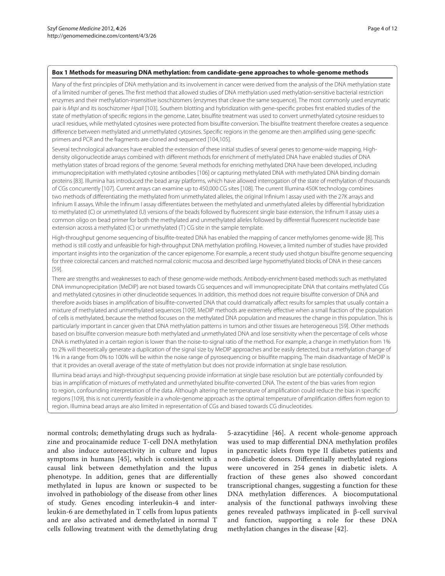### **Box 1 Methods for measuring DNA methylation: from candidate-gene approaches to whole-genome methods**

Many of the first principles of DNA methylation and its involvement in cancer were derived from the analysis of the DNA methylation state of a limited number of genes. The first method that allowed studies of DNA methylation used methylation-sensitive bacterial restriction enzymes and their methylation-insensitive isoschizomers (enzymes that cleave the same sequence). The most commonly used enzymatic pair is *MspI* and its isoschizomer *HpaII* [103]. Southern blotting and hybridization with gene-specific probes first enabled studies of the state of methylation of specific regions in the genome. Later, bisulfite treatment was used to convert unmethylated cytosine residues to uracil residues, while methylated cytosines were protected from bisulfite conversion. The bisulfite treatment therefore creates a sequence difference between methylated and unmethylated cytosines. Specific regions in the genome are then amplified using gene-specific primers and PCR and the fragments are cloned and sequenced [104,105].

Several technological advances have enabled the extension of these initial studies of several genes to genome-wide mapping. Highdensity oligonucleotide arrays combined with different methods for enrichment of methylated DNA have enabled studies of DNA methylation states of broad regions of the genome. Several methods for enriching methylated DNA have been developed, including immunoprecipitation with methylated cytosine antibodies [106] or capturing methylated DNA with methylated DNA binding domain proteins [83]. Illumina has introduced the bead array platforms, which have allowed interrogation of the state of methylation of thousands of CGs concurrently [107]. Current arrays can examine up to 450,000 CG sites [108]. The current Illumina 450K technology combines two methods of differentiating the methylated from unmethylated alleles, the original Infinium I assay used with the 27K arrays and Infinium II assays. While the Infinum I assay differentiates between the methylated and unmethylated alleles by differential hybridization to methylated (C) or unmethylated (U) versions of the beads followed by fluorescent single base extension, the Infinum II assay uses a common oligo on bead primer for both the methylated and unmethylated alleles followed by differential fluorescent nucleotide base extension across a methylated (C) or unmethylated (T) CG site in the sample template.

High-throughput genome sequencing of bisulfite-treated DNA has enabled the mapping of cancer methylomes genome-wide [8]. This method is still costly and unfeasible for high-throughput DNA methylation profiling. However, a limited number of studies have provided important insights into the organization of the cancer epigenome. For example, a recent study used shotgun bisulfite genome sequencing for three colorectal cancers and matched normal colonic mucosa and described large hypomethylated blocks of DNA in these cancers [59].

There are strengths and weaknesses to each of these genome-wide methods. Antibody-enrichment-based methods such as methylated DNA immunoprecipitation (MeDIP) are not biased towards CG sequences and will immunoprecipitate DNA that contains methylated CGs and methylated cytosines in other dinucleotide sequences. In addition, this method does not require bisulfite conversion of DNA and therefore avoids biases in amplification of bisulfite-converted DNA that could dramatically affect results for samples that usually contain a mixture of methylated and unmethylated sequences [109]. MeDIP methods are extremely effective when a small fraction of the population of cells is methylated, because the method focuses on the methylated DNA population and measures the change in this population. This is particularly important in cancer given that DNA methylation patterns in tumors and other tissues are heterogeneous [59]. Other methods based on bisulfite conversion measure both methylated and unmethylated DNA and lose sensitivity when the percentage of cells whose DNA is methylated in a certain region is lower than the noise-to-signal ratio of the method. For example, a change in methylation from 1% to 2% will theoretically generate a duplication of the signal size by MeDIP approaches and be easily detected, but a methylation change of 1% in a range from 0% to 100% will be within the noise range of pyrosequencing or bisulfite mapping. The main disadvantage of MeDIP is that it provides an overall average of the state of methylation but does not provide information at single base resolution.

Illumina bead arrays and high-throughput sequencing provide information at single base resolution but are potentially confounded by bias in amplification of mixtures of methylated and unmethylated bisulfite-converted DNA. The extent of the bias varies from region to region, confounding interpretation of the data. Although altering the temperature of amplification could reduce the bias in specific regions [109], this is not currently feasible in a whole-genome approach as the optimal temperature of amplification differs from region to region. Illumina bead arrays are also limited in representation of CGs and biased towards CG dinucleotides.

normal controls; demethylating drugs such as hydralazine and procainamide reduce T-cell DNA methylation and also induce autoreactivity in culture and lupus symptoms in humans [45], which is consistent with a causal link between demethylation and the lupus phenotype. In addition, genes that are differentially methylated in lupus are known or suspected to be involved in pathobiology of the disease from other lines of study. Genes encoding interleukin-4 and interleukin-6 are demethylated in T cells from lupus patients and are also activated and demethylated in normal T cells following treatment with the demethylating drug

5-azacytidine [46]. A recent whole-genome approach was used to map differential DNA methylation profiles in pancreatic islets from type II diabetes patients and non-diabetic donors. Differentially methylated regions were uncovered in 254 genes in diabetic islets. A fraction of these genes also showed concordant transcriptional changes, suggesting a function for these DNA methylation differences. A biocomputational analysis of the functional pathways involving these genes revealed pathways implicated in β-cell survival and function, supporting a role for these DNA methylation changes in the disease [42].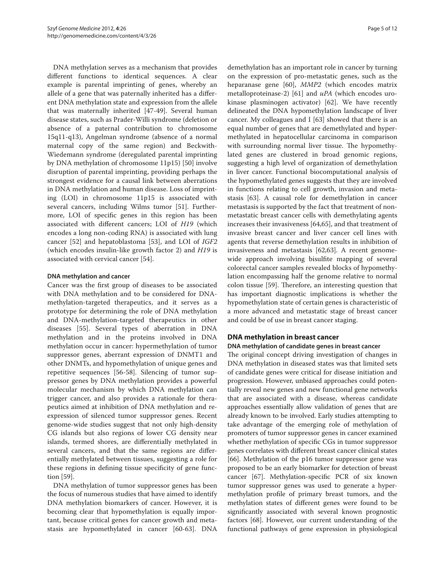DNA methylation serves as a mechanism that provides different functions to identical sequences. A clear example is parental imprinting of genes, whereby an allele of a gene that was paternally inherited has a different DNA methylation state and expression from the allele that was maternally inherited [47-49]. Several human disease states, such as Prader-Willi syndrome (deletion or absence of a paternal contribution to chromosome 15q11-q13), Angelman syndrome (absence of a normal maternal copy of the same region) and Beckwith-Wiedemann syndrome (deregulated parental imprinting by DNA methylation of chromosome 11p15) [50] involve disruption of parental imprinting, providing perhaps the strongest evidence for a causal link between aberrations in DNA methylation and human disease. Loss of imprinting (LOI) in chromosome 11p15 is associated with several cancers, including Wilms tumor [51]. Furthermore, LOI of specific genes in this region has been associated with different cancers; LOI of *H19* (which encodes a long non-coding RNA) is associated with lung cancer [52] and hepatoblastoma [53], and LOI of *IGF2* (which encodes insulin-like growth factor 2) and *H19* is associated with cervical cancer [54].

#### **DNA methylation and cancer**

Cancer was the first group of diseases to be associated with DNA methylation and to be considered for DNAmethylation-targeted therapeutics, and it serves as a prototype for determining the role of DNA methylation and DNA-methylation-targeted therapeutics in other diseases [55]. Several types of aberration in DNA methylation and in the proteins involved in DNA methylation occur in cancer: hypermethylation of tumor suppressor genes, aberrant expression of DNMT1 and other DNMTs, and hypomethylation of unique genes and repetitive sequences [56-58]. Silencing of tumor suppressor genes by DNA methylation provides a powerful molecular mechanism by which DNA methylation can trigger cancer, and also provides a rationale for therapeutics aimed at inhibition of DNA methylation and reexpression of silenced tumor suppressor genes. Recent genome-wide studies suggest that not only high-density CG islands but also regions of lower CG density near islands, termed shores, are differentially methylated in several cancers, and that the same regions are differentially methylated between tissues, suggesting a role for these regions in defining tissue specificity of gene function [59].

DNA methylation of tumor suppressor genes has been the focus of numerous studies that have aimed to identify DNA methylation biomarkers of cancer. However, it is becoming clear that hypomethylation is equally important, because critical genes for cancer growth and metastasis are hypomethylated in cancer [60-63]. DNA demethylation has an important role in cancer by turning on the expression of pro-metastatic genes, such as the heparanase gene [60], *MMP2* (which encodes matrix metalloproteinase-2) [61] and *uPA* (which encodes urokinase plasminogen activator) [62]. We have recently delineated the DNA hypomethylation landscape of liver cancer. My colleagues and I [63] showed that there is an equal number of genes that are demethylated and hypermethylated in hepatocellular carcinoma in comparison with surrounding normal liver tissue. The hypomethylated genes are clustered in broad genomic regions, suggesting a high level of organization of demethylation in liver cancer. Functional biocomputational analysis of the hypomethylated genes suggests that they are involved in functions relating to cell growth, invasion and metastasis [63]. A causal role for demethylation in cancer metastasis is supported by the fact that treatment of nonmetastatic breast cancer cells with demethylating agents increases their invasiveness [64,65], and that treatment of invasive breast cancer and liver cancer cell lines with agents that reverse demethylation results in inhibition of invasiveness and metastasis [62,63]. A recent genomewide approach involving bisulfite mapping of several colorectal cancer samples revealed blocks of hypomethylation encompassing half the genome relative to normal colon tissue [59]. Therefore, an interesting question that has important diagnostic implications is whether the hypomethylation state of certain genes is characteristic of a more advanced and metastatic stage of breast cancer and could be of use in breast cancer staging.

## **DNA methylation in breast cancer DNA methylation of candidate genes in breast cancer**

The original concept driving investigation of changes in DNA methylation in diseased states was that limited sets of candidate genes were critical for disease initiation and progression. However, unbiased approaches could potentially reveal new genes and new functional gene networks that are associated with a disease, whereas candidate approaches essentially allow validation of genes that are already known to be involved. Early studies attempting to take advantage of the emerging role of methylation of promoters of tumor suppressor genes in cancer examined whether methylation of specific CGs in tumor suppressor genes correlates with different breast cancer clinical states [66]. Methylation of the p16 tumor suppressor gene was proposed to be an early biomarker for detection of breast cancer [67]. Methylation-specific PCR of six known tumor suppressor genes was used to generate a hypermethylation profile of primary breast tumors, and the methylation states of different genes were found to be significantly associated with several known prognostic factors [68]. However, our current understanding of the functional pathways of gene expression in physiological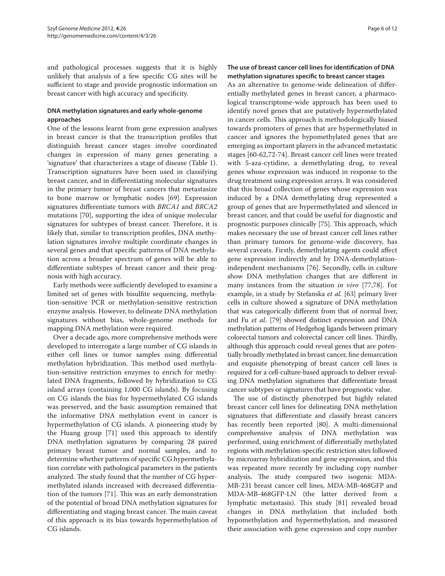and pathological processes suggests that it is highly unlikely that analysis of a few specific CG sites will be sufficient to stage and provide prognostic information on breast cancer with high accuracy and specificity.

## **DNA methylation signatures and early whole-genome approaches**

One of the lessons learnt from gene expression analyses in breast cancer is that the transcription profiles that distinguish breast cancer stages involve coordinated changes in expression of many genes generating a 'signature' that characterizes a stage of disease (Table 1). Transcription signatures have been used in classifying breast cancer, and in differentiating molecular signatures in the primary tumor of breast cancers that metastasize to bone marrow or lymphatic nodes [69]. Expression signatures differentiate tumors with *BRCA1* and *BRCA2* mutations [70], supporting the idea of unique molecular signatures for subtypes of breast cancer. Therefore, it is likely that, similar to transcription profiles, DNA methylation signatures involve multiple coordinate changes in several genes and that specific patterns of DNA methylation across a broader spectrum of genes will be able to differentiate subtypes of breast cancer and their prognosis with high accuracy.

Early methods were sufficiently developed to examine a limited set of genes with bisulfite sequencing, methylation-sensitive PCR or methylation-sensitive restriction enzyme analysis. However, to delineate DNA methylation signatures without bias, whole-genome methods for mapping DNA methylation were required.

Over a decade ago, more comprehensive methods were developed to interrogate a large number of CG islands in either cell lines or tumor samples using differential methylation hybridization. This method used methylation-sensitive restriction enzymes to enrich for methylated DNA fragments, followed by hybridization to CG island arrays (containing 1,000 CG islands). By focusing on CG islands the bias for hypermethylated CG islands was preserved, and the basic assumption remained that the informative DNA methylation event in cancer is hypermethylation of CG islands. A pioneering study by the Huang group [71] used this approach to identify DNA methylation signatures by comparing 28 paired primary breast tumor and normal samples, and to determine whether patterns of specific CG hypermethylation correlate with pathological parameters in the patients analyzed. The study found that the number of CG hypermethylated islands increased with decreased differentiation of the tumors [71]. This was an early demonstration of the potential of broad DNA methylation signatures for differentiating and staging breast cancer. The main caveat of this approach is its bias towards hypermethylation of CG islands.

## **The use of breast cancer cell lines for identification of DNA methylation signatures specific to breast cancer stages**

As an alternative to genome-wide delineation of differentially methylated genes in breast cancer, a pharmacological transcriptome-wide approach has been used to identify novel genes that are putatively hypermethylated in cancer cells. This approach is methodologically biased towards promoters of genes that are hypermethylated in cancer and ignores the hypomethylated genes that are emerging as important players in the advanced metastatic stages [60-62,72-74]. Breast cancer cell lines were treated with 5-aza-cytidine, a demethylating drug, to reveal genes whose expression was induced in response to the drug treatment using expression arrays. It was considered that this broad collection of genes whose expression was induced by a DNA demethylating drug represented a group of genes that are hypermethylated and silenced in breast cancer, and that could be useful for diagnostic and prognostic purposes clinically [75]. This approach, which makes necessary the use of breast cancer cell lines rather than primary tumors for genome-wide discovery, has several caveats. Firstly, demethylating agents could affect gene expression indirectly and by DNA-demethylationindependent mechanisms [76]. Secondly, cells in culture show DNA methylation changes that are different in many instances from the situation *in vivo* [77,78]. For example, in a study by Stefanska *et al.* [63] primary liver cells in culture showed a signature of DNA methylation that was categorically different from that of normal liver, and Fu *et al*. [79] showed distinct expression and DNA methylation patterns of Hedgehog ligands between primary colorectal tumors and colorectal cancer cell lines. Thirdly, although this approach could reveal genes that are potentially broadly methylated in breast cancer, fine demarcation and exquisite phenotyping of breast cancer cell lines is required for a cell-culture-based approach to deliver revealing DNA methylation signatures that differentiate breast cancer subtypes or signatures that have prognostic value.

The use of distinctly phenotyped but highly related breast cancer cell lines for delineating DNA methylation signatures that differentiate and classify breast cancers has recently been reported [80]. A multi-dimensional comprehensive analysis of DNA methylation was performed, using enrichment of differentially methylated regions with methylation-specific restriction sites followed by microarray hybridization and gene expression, and this was repeated more recently by including copy number analysis. The study compared two isogenic MDA-MB-231 breast cancer cell lines, MDA-MB-468GFP and MDA-MB-468GFP-LN (the latter derived from a lymphatic metastasis). This study [81] revealed broad changes in DNA methylation that included both hypomethylation and hypermethylation, and measured their association with gene expression and copy number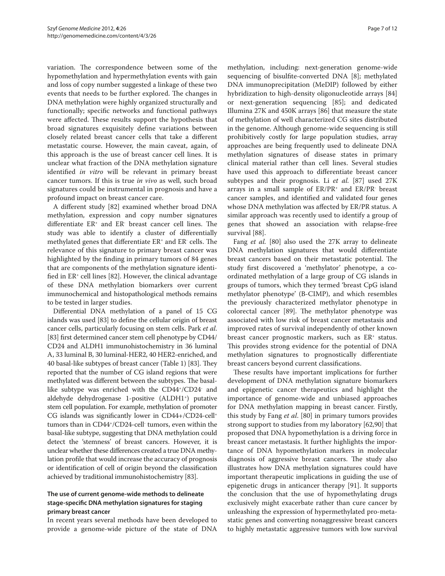variation. The correspondence between some of the hypomethylation and hypermethylation events with gain and loss of copy number suggested a linkage of these two events that needs to be further explored. The changes in DNA methylation were highly organized structurally and functionally; specific networks and functional pathways were affected. These results support the hypothesis that broad signatures exquisitely define variations between closely related breast cancer cells that take a different metastatic course. However, the main caveat, again, of this approach is the use of breast cancer cell lines. It is unclear what fraction of the DNA methylation signature identified *in vitro* will be relevant in primary breast cancer tumors. If this is true *in vivo* as well, such broad signatures could be instrumental in prognosis and have a profound impact on breast cancer care.

A different study [82] examined whether broad DNA methylation, expression and copy number signatures differentiate ER+ and ER- breast cancer cell lines. The study was able to identify a cluster of differentially methylated genes that differentiate ER+ and ER- cells. The relevance of this signature to primary breast cancer was highlighted by the finding in primary tumors of 84 genes that are components of the methylation signature identified in  $ER^+$  cell lines [82]. However, the clinical advantage of these DNA methylation biomarkers over current immunochemical and histopathological methods remains to be tested in larger studies.

Differential DNA methylation of a panel of 15 CG islands was used [83] to define the cellular origin of breast cancer cells, particularly focusing on stem cells. Park *et al*. [83] first determined cancer stem cell phenotype by CD44/ CD24 and ALDH1 immunohistochemistry in 36 luminal A, 33 luminal B, 30 luminal-HER2, 40 HER2-enriched, and 40 basal-like subtypes of breast cancer (Table 1) [83]. They reported that the number of CG island regions that were methylated was different between the subtypes. The basallike subtype was enriched with the CD44+/CD24- and aldehyde dehydrogenase 1-positive (ALDH1+) putative stem cell population. For example, methylation of promoter CG islands was significantly lower in CD44+/CD24-cell+ tumors than in CD44+/CD24-cell- tumors, even within the basal-like subtype, suggesting that DNA methylation could detect the 'stemness' of breast cancers. However, it is unclear whether these differences created a true DNA methylation profile that would increase the accuracy of prognosis or identification of cell of origin beyond the classification achieved by traditional immunohistochemistry [83].

## **The use of current genome-wide methods to delineate stage-specific DNA methylation signatures for staging primary breast cancer**

In recent years several methods have been developed to provide a genome-wide picture of the state of DNA methylation, including: next-generation genome-wide sequencing of bisulfite-converted DNA [8]; methylated DNA immunoprecipitation (MeDIP) followed by either hybridization to high-density oligonucleotide arrays [84] or next-generation sequencing [85]; and dedicated Illumina 27K and 450K arrays [86] that measure the state of methylation of well characterized CG sites distributed in the genome. Although genome-wide sequencing is still prohibitively costly for large population studies, array approaches are being frequently used to delineate DNA methylation signatures of disease states in primary clinical material rather than cell lines. Several studies have used this approach to differentiate breast cancer subtypes and their prognosis. Li *et al.* [87] used 27K arrays in a small sample of  $ER/PR^+$  and  $ER/PR^-$  breast cancer samples, and identified and validated four genes whose DNA methylation was affected by ER/PR status. A similar approach was recently used to identify a group of genes that showed an association with relapse-free survival [88].

Fang *et al.* [80] also used the 27K array to delineate DNA methylation signatures that would differentiate breast cancers based on their metastatic potential. The study first discovered a 'methylator' phenotype, a coordinated methylation of a large group of CG islands in groups of tumors, which they termed 'breast CpG island methylator phenotype' (B-CIMP), and which resembles the previously characterized methylator phenotype in colorectal cancer [89]. The methylator phenotype was associated with low risk of breast cancer metastasis and improved rates of survival independently of other known breast cancer prognostic markers, such as  $ER^*$  status. This provides strong evidence for the potential of DNA methylation signatures to prognostically differentiate breast cancers beyond current classifications.

These results have important implications for further development of DNA methylation signature biomarkers and epigenetic cancer therapeutics and highlight the importance of genome-wide and unbiased approaches for DNA methylation mapping in breast cancer. Firstly, this study by Fang *et al*. [80] in primary tumors provides strong support to studies from my laboratory [62,90] that proposed that DNA hypomethylation is a driving force in breast cancer metastasis. It further highlights the importance of DNA hypomethylation markers in molecular diagnosis of aggressive breast cancers. The study also illustrates how DNA methylation signatures could have important therapeutic implications in guiding the use of epigenetic drugs in anticancer therapy [91]. It supports the conclusion that the use of hypomethylating drugs exclusively might exacerbate rather than cure cancer by unleashing the expression of hypermethylated pro-metastatic genes and converting nonaggressive breast cancers to highly metastatic aggressive tumors with low survival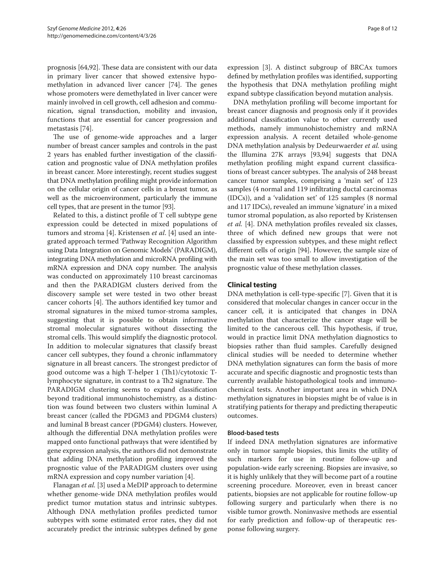prognosis [64,92]. These data are consistent with our data in primary liver cancer that showed extensive hypomethylation in advanced liver cancer [74]. The genes whose promoters were demethylated in liver cancer were mainly involved in cell growth, cell adhesion and communication, signal transduction, mobility and invasion, functions that are essential for cancer progression and metastasis [74].

The use of genome-wide approaches and a larger number of breast cancer samples and controls in the past 2 years has enabled further investigation of the classification and prognostic value of DNA methylation profiles in breast cancer. More interestingly, recent studies suggest that DNA methylation profiling might provide information on the cellular origin of cancer cells in a breast tumor, as well as the microenvironment, particularly the immune cell types, that are present in the tumor [93].

Related to this, a distinct profile of T cell subtype gene expression could be detected in mixed populations of tumors and stroma [4]. Kristensen *et al*. [4] used an integrated approach termed 'Pathway Recognition Algorithm using Data Integration on Genomic Models' (PARADIGM), integrating DNA methylation and microRNA profiling with mRNA expression and DNA copy number. The analysis was conducted on approximately 110 breast carcinomas and then the PARADIGM clusters derived from the discovery sample set were tested in two other breast cancer cohorts [4]. The authors identified key tumor and stromal signatures in the mixed tumor-stroma samples, suggesting that it is possible to obtain informative stromal molecular signatures without dissecting the stromal cells. This would simplify the diagnostic protocol. In addition to molecular signatures that classify breast cancer cell subtypes, they found a chronic inflammatory signature in all breast cancers. The strongest predictor of good outcome was a high T-helper 1 (Th1)/cytotoxic Tlymphocyte signature, in contrast to a Th2 signature. The PARADIGM clustering seems to expand classification beyond traditional immunohistochemistry, as a distinction was found between two clusters within luminal A breast cancer (called the PDGM3 and PDGM4 clusters) and luminal B breast cancer (PDGM4) clusters. However, although the differential DNA methylation profiles were mapped onto functional pathways that were identified by gene expression analysis, the authors did not demonstrate that adding DNA methylation profiling improved the prognostic value of the PARADIGM clusters over using mRNA expression and copy number variation [4].

Flanagan *et al.* [3] used a MeDIP approach to determine whether genome-wide DNA methylation profiles would predict tumor mutation status and intrinsic subtypes. Although DNA methylation profiles predicted tumor subtypes with some estimated error rates, they did not accurately predict the intrinsic subtypes defined by gene expression [3]. A distinct subgroup of BRCAx tumors defined by methylation profiles was identified, supporting the hypothesis that DNA methylation profiling might expand subtype classification beyond mutation analysis.

DNA methylation profiling will become important for breast cancer diagnosis and prognosis only if it provides additional classification value to other currently used methods, namely immunohistochemistry and mRNA expression analysis. A recent detailed whole-genome DNA methylation analysis by Dedeurwaerder *et al.* using the Illumina 27K arrays [93,94] suggests that DNA methylation profiling might expand current classifications of breast cancer subtypes. The analysis of 248 breast cancer tumor samples, comprising a 'main set' of 123 samples (4 normal and 119 infiltrating ductal carcinomas (IDCs)), and a 'validation set' of 125 samples (8 normal and 117 IDCs), revealed an immune 'signature' in a mixed tumor stromal population, as also reported by Kristensen *et al.* [4]. DNA methylation profiles revealed six classes, three of which defined new groups that were not classified by expression subtypes, and these might reflect different cells of origin [94]. However, the sample size of the main set was too small to allow investigation of the prognostic value of these methylation classes.

#### **Clinical testing**

DNA methylation is cell-type-specific [7]. Given that it is considered that molecular changes in cancer occur in the cancer cell, it is anticipated that changes in DNA methylation that characterize the cancer stage will be limited to the cancerous cell. This hypothesis, if true, would in practice limit DNA methylation diagnostics to biopsies rather than fluid samples. Carefully designed clinical studies will be needed to determine whether DNA methylation signatures can form the basis of more accurate and specific diagnostic and prognostic tests than currently available histopathological tools and immunochemical tests. Another important area in which DNA methylation signatures in biopsies might be of value is in stratifying patients for therapy and predicting therapeutic outcomes.

#### **Blood-based tests**

If indeed DNA methylation signatures are informative only in tumor sample biopsies, this limits the utility of such markers for use in routine follow-up and population-wide early screening. Biopsies are invasive, so it is highly unlikely that they will become part of a routine screening procedure. Moreover, even in breast cancer patients, biopsies are not applicable for routine follow-up following surgery and particularly when there is no visible tumor growth. Noninvasive methods are essential for early prediction and follow-up of therapeutic response following surgery.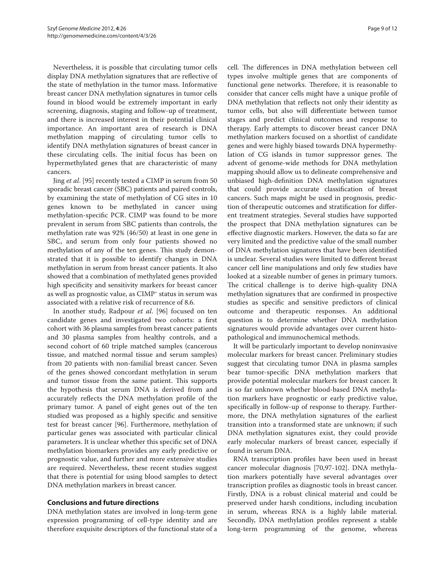Nevertheless, it is possible that circulating tumor cells display DNA methylation signatures that are reflective of the state of methylation in the tumor mass. Informative breast cancer DNA methylation signatures in tumor cells found in blood would be extremely important in early screening, diagnosis, staging and follow-up of treatment, and there is increased interest in their potential clinical importance. An important area of research is DNA methylation mapping of circulating tumor cells to identify DNA methylation signatures of breast cancer in these circulating cells. The initial focus has been on hypermethylated genes that are characteristic of many cancers.

Jing *et al*. [95] recently tested a CIMP in serum from 50 sporadic breast cancer (SBC) patients and paired controls, by examining the state of methylation of CG sites in 10 genes known to be methylated in cancer using methylation-specific PCR. CIMP was found to be more prevalent in serum from SBC patients than controls, the methylation rate was 92% (46/50) at least in one gene in SBC, and serum from only four patients showed no methylation of any of the ten genes. This study demonstrated that it is possible to identify changes in DNA methylation in serum from breast cancer patients. It also showed that a combination of methylated genes provided high specificity and sensitivity markers for breast cancer as well as prognostic value, as CIMP+ status in serum was associated with a relative risk of recurrence of 8.6.

In another study, Radpour *et al*. [96] focused on ten candidate genes and investigated two cohorts: a first cohort with 36 plasma samples from breast cancer patients and 30 plasma samples from healthy controls, and a second cohort of 60 triple matched samples (cancerous tissue, and matched normal tissue and serum samples) from 20 patients with non-familial breast cancer. Seven of the genes showed concordant methylation in serum and tumor tissue from the same patient. This supports the hypothesis that serum DNA is derived from and accurately reflects the DNA methylation profile of the primary tumor. A panel of eight genes out of the ten studied was proposed as a highly specific and sensitive test for breast cancer [96]. Furthermore, methylation of particular genes was associated with particular clinical parameters. It is unclear whether this specific set of DNA methylation biomarkers provides any early predictive or prognostic value, and further and more extensive studies are required. Nevertheless, these recent studies suggest that there is potential for using blood samples to detect DNA methylation markers in breast cancer.

#### **Conclusions and future directions**

DNA methylation states are involved in long-term gene expression programming of cell-type identity and are therefore exquisite descriptors of the functional state of a cell. The differences in DNA methylation between cell types involve multiple genes that are components of functional gene networks. Therefore, it is reasonable to consider that cancer cells might have a unique profile of DNA methylation that reflects not only their identity as tumor cells, but also will differentiate between tumor stages and predict clinical outcomes and response to therapy. Early attempts to discover breast cancer DNA methylation markers focused on a shortlist of candidate genes and were highly biased towards DNA hypermethylation of CG islands in tumor suppressor genes. The advent of genome-wide methods for DNA methylation mapping should allow us to delineate comprehensive and unbiased high-definition DNA methylation signatures that could provide accurate classification of breast cancers. Such maps might be used in prognosis, prediction of therapeutic outcomes and stratification for different treatment strategies. Several studies have supported the prospect that DNA methylation signatures can be effective diagnostic markers. However, the data so far are very limited and the predictive value of the small number of DNA methylation signatures that have been identified is unclear. Several studies were limited to different breast cancer cell line manipulations and only few studies have looked at a sizeable number of genes in primary tumors. The critical challenge is to derive high-quality DNA methylation signatures that are confirmed in prospective studies as specific and sensitive predictors of clinical outcome and therapeutic responses. An additional question is to determine whether DNA methylation signatures would provide advantages over current histopathological and immunochemical methods.

It will be particularly important to develop noninvasive molecular markers for breast cancer. Preliminary studies suggest that circulating tumor DNA in plasma samples bear tumor-specific DNA methylation markers that provide potential molecular markers for breast cancer. It is so far unknown whether blood-based DNA methylation markers have prognostic or early predictive value, specifically in follow-up of response to therapy. Furthermore, the DNA methylation signatures of the earliest transition into a transformed state are unknown; if such DNA methylation signatures exist, they could provide early molecular markers of breast cancer, especially if found in serum DNA.

RNA transcription profiles have been used in breast cancer molecular diagnosis [70,97-102]. DNA methylation markers potentially have several advantages over transcription profiles as diagnostic tools in breast cancer. Firstly, DNA is a robust clinical material and could be preserved under harsh conditions, including incubation in serum, whereas RNA is a highly labile material. Secondly, DNA methylation profiles represent a stable long-term programming of the genome, whereas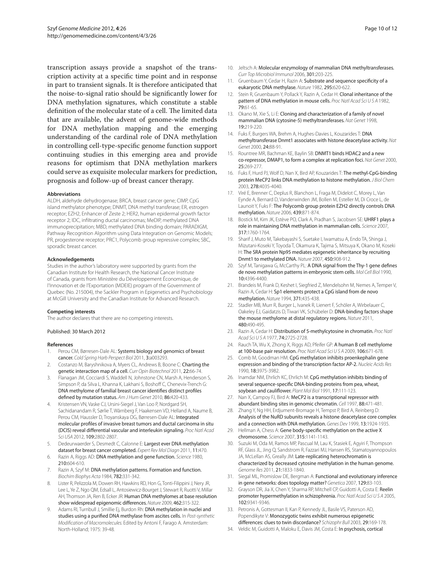transcription assays provide a snapshot of the transcription activity at a specific time point and in response in part to transient signals. It is therefore anticipated that the noise-to-signal ratio should be significantly lower for DNA methylation signatures, which constitute a stable definition of the molecular state of a cell. The limited data that are available, the advent of genome-wide methods for DNA methylation mapping and the emerging understanding of the cardinal role of DNA methylation in controlling cell-type-specific genome function support continuing studies in this emerging area and provide reasons for optimism that DNA methylation markers could serve as exquisite molecular markers for prediction, prognosis and follow-up of breast cancer therapy.

#### **Abbreviations**

ALDH, aldehyde dehydrogenase; BRCA, breast cancer gene; CIMP, CpG island methylator phenotype; DNMT, DNA methyl transferase; ER, estrogen receptor; EZH2, Enhancer of Zeste 2; HER2, human epidermal growth factor receptor 2; IDC, infiltrating ductal carcinomas; MeDIP, methylated DNA immunoprecipitation; MBD, methylated DNA binding domain; PARADIGM, Pathway Recognition Algorithm using Data Integration on Genomic Models; PR, progesterone receptor; PRC1, Polycomb group repressive complex; SBC, sporadic breast cancer.

#### **Acknowledgements**

Studies in the author's laboratory were supported by grants from the Canadian Institute for Health Research, the National Cancer Institute of Canada, grants from Ministère du Développement Économique, de l'Innovation et de l'Exportation (MDEIE) program of the Government of Quebec (No. 215004), the Sackler Program in Epigenetics and Psychobiology at McGill University and the Canadian Institute for Advanced Research.

#### **Competing interests**

The author declares that there are no competing interests.

#### Published: 30 March 2012

#### **References**

- Perou CM, Børresen-Dale AL: Systems biology and genomics of breast cancer. *Cold Spring Harb Perspect Biol* 2011, 3:a003293.
- Costanzo M, Baryshnikova A, Myers CL, Andrews B, Boone C: Charting the genetic interaction map of a cell. *Curr Opin Biotechnol* 2011, 22:66-74.
- 3. Flanagan JM, Cocciardi S, Waddell N, Johnstone CN, Marsh A, Henderson S, Simpson P, da Silva L, Khanna K, Lakhani S, Boshoff C, Chenevix-Trench G: DNA methylome of familial breast cancer identifies distinct profiles defined by mutation status. *Am J Hum Genet* 2010, 86:420-433.
- 4. Kristensen VN, Vaske CJ, Ursini-Siegel J, Van Loo P, Nordgard SH, Sachidanandam R, Sørlie T, Wärnberg F, Haakensen VD, Helland A, Naume B, Perou CM, Haussler D, Troyanskaya OG, Børresen-Dale AL: Integrated molecular profiles of invasive breast tumors and ductal carcinoma in situ (DCIS) reveal differential vascular and interleukin signaling. *Proc Natl Acad Sci USA* 2012, 109:2802-2807.
- Dedeurwaerder S, Desmedt C, Calonne E: Largest ever DNA methylation dataset for breast cancer completed. *Expert Rev Mol Diagn* 2011, 11:470. 6. Razin A, Riggs AD: DNA methylation and gene function. *Science* 1980, 210:604-610.
- 7. Razin A, Szyf M: DNA methylation patterns. Formation and function. *Biochim Biophys Acta* 1984, 782:331-342.
- 8. Lister R, Pelizzola M, Dowen RH, Hawkins RD, Hon G, Tonti-Filippini J, Nery JR, Lee L, Ye Z, Ngo QM, Edsall L, Antosiewicz-Bourget J, Stewart R, Ruotti V, Millar AH, Thomson JA, Ren B, Ecker JR: Human DNA methylomes at base resolution show widespread epigenomic differences. *Nature* 2009, 462:315-322.
- 9. Adams RI, Turnbull J, Smillie Ej, Burdon Rh: DNA methylation in nuclei and studies using a purified DNA methylase from ascites cells. In *Post-synthetic Modification of Macromolecules.* Edited by Antoni F, Farago A. Amsterdam: North-Holland; 1975: 39-48*.*
- 10. Jeltsch A: Molecular enzymology of mammalian DNA methyltransferases. *Curr Top Microbiol Immunol* 2006, 301:203-225.
- 11. Gruenbaum Y, Cedar H, Razin A: Substrate and sequence specificity of a eukaryotic DNA methylase. *Nature* 1982, 295:620-622.
- 12. Stein R, Gruenbaum Y, Pollack Y, Razin A, Cedar H: Clonal inheritance of the pattern of DNA methylation in mouse cells. *Proc Natl Acad Sci U S A* 1982, 79:61-65.
- 13. Okano M, Xie S, Li E: Cloning and characterization of a family of novel mammalian DNA (cytosine-5) methyltransferases. *Nat Genet* 1998, 19:219-220.
- 14. Fuks F, Burgers WA, Brehm A, Hughes-Davies L, Kouzarides T: DNA methyltransferase Dnmt1 associates with histone deacetylase activity. *Nat Genet* 2000, 24:88-91.
- 15. Rountree MR, Bachman KE, Baylin SB: DNMT1 binds HDAC2 and a new co-repressor, DMAP1, to form a complex at replication foci. *Nat Genet* 2000, 25:269-277.
- 16. Fuks F, Hurd PJ, Wolf D, Nan X, Bird AP, Kouzarides T: The methyl-CpG-binding protein MeCP2 links DNA methylation to histone methylation. *J Biol Chem*  2003, 278:4035-4040.
- 17. Viré E, Brenner C, Deplus R, Blanchon L, Fraga M, Didelot C, Morey L, Van Eynde A, Bernard D, Vanderwinden JM, Bollen M, Esteller M, Di Croce L, de Launoit Y, Fuks F: The Polycomb group protein EZH2 directly controls DNA methylation. *Nature* 2006, 439:871-874.
- 18. Bostick M, Kim JK, Estève PO, Clark A, Pradhan S, Jacobsen SE: UHRF1 plays a role in maintaining DNA methylation in mammalian cells. *Science* 2007, 317:1760-1764.
- 19. Sharif J, Muto M, Takebayashi S, Suetake I, Iwamatsu A, Endo TA, Shinga J, Mizutani-Koseki Y, Toyoda T, Okamura K, Tajima S, Mitsuya K, Okano M, Koseki H: The SRA protein Np95 mediates epigenetic inheritance by recruiting Dnmt1 to methylated DNA. *Nature* 2007, 450:908-912.
- 20. Szyf M, Tanigawa G, McCarthy PL: A DNA signal from the Thy-1 gene defines de novo methylation patterns in embryonic stem cells. *Mol Cell Biol* 1990, 10:4396-4400.
- 21. Brandeis M, Frank D, Keshet I, Siegfried Z, Mendelsohn M, Nemes A, Temper V, Razin A, Cedar H: Sp1 elements protect a CpG island from de novo methylation. *Nature* 1994, 371:435-438.
- 22. Stadler MB, Murr R, Burger L, Ivanek R, Lienert F, Schöler A, Wirbelauer C, Oakeley EJ, Gaidatzis D, Tiwari VK, Schübeler D: DNA-binding factors shape the mouse methylome at distal regulatory regions. *Nature* 2011, 480:490-495.
- 23. Razin A, Cedar H: Distribution of 5-methylcytosine in chromatin. *Proc Natl Acad Sci U S A* 1977, 74:2725-2728.
- 24. Rauch TA, Wu X, Zhong X, Riggs AD, Pfeifer GP: A human B cell methylome at 100-base pair resolution. *Proc Natl Acad Sci U S A* 2009, 106:671-678.
- 25. Comb M, Goodman HM: CpG methylation inhibits proenkephalin gene expression and binding of the transcription factor AP-2. *Nucleic Acids Res*  1990, 18:3975-3982.
- 26. Inamdar NM, Ehrlich KC, Ehrlich M: CpG methylation inhibits binding of several sequence-specific DNA-binding proteins from pea, wheat, soybean and cauliflower. *Plant Mol Biol* 1991, 17:111-123.
- 27. Nan X, Campoy FJ, Bird A: MeCP2 is a transcriptional repressor with abundant binding sites in genomic chromatin. *Cell* 1997, 88:471-481.
- 28. Zhang Y, Ng HH, Erdjument-Bromage H, Tempst P, Bird A, Reinberg D: Analysis of the NuRD subunits reveals a histone deacetylase core complex and a connection with DNA methylation. *Genes Dev* 1999, 13:1924-1935.
- 29. Hellman A, Chess A: Gene body-specific methylation on the active X chromosome. *Science* 2007, 315:1141-1143.
- 30. Suzuki M, Oda M, Ramos MP, Pascual M, Lau K, Stasiek E, Agyiri F, Thompson RF, Glass JL, Jing Q, Sandstrom R, Fazzari MJ, Hansen RS, Stamatoyannopoulos JA, McLellan AS, Greally JM: Late-replicating heterochromatin is characterized by decreased cytosine methylation in the human genome. *Genome Res* 2011, 21:1833-1840.
- 31. Siegal ML, Promislow DE, Bergman A: Functional and evolutionary inference in gene networks: does topology matter? *Genetica* 2007, 129:83-103.
- 32. Grayson DR, Jia X, Chen Y, Sharma RP, Mitchell CP, Guidotti A, Costa E: Reelin promoter hypermethylation in schizophrenia. *Proc Natl Acad Sci U S A* 2005, 102:9341-9346.
- 33. Petronis A, Gottesman II, Kan P, Kennedy JL, Basile VS, Paterson AD, Popendikyte V: Monozygotic twins exhibit numerous epigenetic differences: clues to twin discordance? *Schizophr Bull* 2003, 29:169-178.
- 34. Veldic M, Guidotti A, Maloku E, Davis JM, Costa E: In psychosis, cortical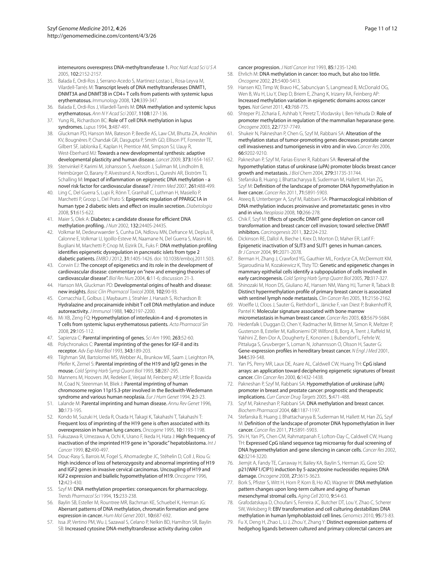interneurons overexpress DNA-methyltransferase 1. *Proc Natl Acad Sci U S A*  2005, 102:2152-2157.

- 35. Balada E, Ordi-Ros J, Serrano-Acedo S, Martinez-Lostao L, Rosa-Leyva M, Vilardell-Tarrés M: Transcript levels of DNA methyltransferases DNMT1, DNMT3A and DNMT3B in CD4+ T cells from patients with systemic lupus erythematosus. *Immunology* 2008, 124:339-347.
- 36. Balada E, Ordi-Ros J, Vilardell-Tarrés M: DNA methylation and systemic lupus erythematosus. *Ann N Y Acad Sci* 2007, 1108:127-136.
- 37. Yung RL, Richardson BC: Role of T cell DNA methylation in lupus syndromes. *Lupus* 1994, 3:487-491.
- 38. Gluckman PD, Hanson MA, Bateson P, Beedle AS, Law CM, Bhutta ZA, Anokhin KV, Bougnères P, Chandak GR, Dasgupta P, Smith GD, Ellison PT, Forrester TE, Gilbert SF, Jablonka E, Kaplan H, Prentice AM, Simpson SJ, Uauy R, West-Eberhard MJ: Towards a new developmental synthesis: adaptive developmental plasticity and human disease. *Lancet* 2009, 373:1654-1657.
- 39. Stenvinkel P, Karimi M, Johansson S, Axelsson J, Suliman M, Lindholm B, Heimbürger O, Barany P, Alvestrand A, Nordfors L, Qureshi AR, Ekström TJ, Schalling M: Impact of inflammation on epigenetic DNA methylation - a novel risk factor for cardiovascular disease? *J Intern Med* 2007, 261:488-499.
- 40. Ling C, Del Guerra S, Lupi R, Rönn T, Granhall C, Luthman H, Masiello P, Marchetti P, Groop L, Del Prato S: Epigenetic regulation of PPARGC1A in human type 2 diabetic islets and effect on insulin secretion. *Diabetologia*  2008, 51:615-622.
- 41. Maier S, Olek A: Diabetes: a candidate disease for efficient DNA methylation profiling. *J Nutr* 2002, 132:2440S-2443S.
- 42. Volkmar M, Dedeurwaerder S, Cunha DA, Ndlovu MN, Defrance M, Deplus R, Calonne E, Volkmar U, Igoillo-Esteve M, Naamane N, Del Guerra S, Masini M, Bugliani M, Marchetti P, Cnop M, Eizirik DL, Fuks F: DNA methylation profiling identifies epigenetic dysregulation in pancreatic islets from type 2 diabetic patients. *EMBO J* 2012, 31:1405-1426. doi: 10.1038/emboj.2011.503.
- 43. Corwin EJ: The concept of epigenetics and its role in the development of cardiovascular disease: commentary on "new and emerging theories of cardiovascular disease". *Biol Res Nurs* 2004, 6:11-6; discussion 21-3.
- 44. Hanson MA, Gluckman PD: Developmental origins of health and disease: new insights. *Basic Clin Pharmacol Toxicol* 2008, 102:90-93.
- 45. Cornacchia E, Golbus J, Maybaum J, Strahler J, Hanash S, Richardson B: Hydralazine and procainamide inhibit T cell DNA methylation and induce autoreactivity. *J Immunol* 1988, 140:2197-2200.
- 46. Mi XB, Zeng FQ: Hypomethylation of interleukin-4 and -6 promoters in T cells from systemic lupus erythematosus patients*. Acta Pharmacol Sin*  2008, 29:105-112.
- 47. Sapienza C: Parental imprinting of genes. *Sci Am* 1990, 263:52-60.
- 48. Polychronakos C: Parental imprinting of the genes for IGF-II and its receptor. *Adv Exp Med Biol* 1993, 343:189-203.
- 49. Tilghman SM, Bartolomei MS, Webber AL, Brunkow ME, Saam J, Leighton PA, Pfeifer K, Zemel S: Parental imprinting of the H19 and Igf2 genes in the mouse. *Cold Spring Harb Symp Quant Biol* 1993, 58:287-295.
- 50. Mannens M, Hoovers JM, Redeker E, Verjaal M, Feinberg AP, Little P, Boavida M, Coad N, Steenman M, Bliek J: Parental imprinting of human chromosome region 11p15.3-pter involved in the Beckwith-Wiedemann syndrome and various human neoplasia. *Eur J Hum Genet* 1994, 2:3-23.
- 51. Lalande M: Parental imprinting and human disease. *Annu Rev Genet* 1996, 30:173-195.
- 52. Kondo M, Suzuki H, Ueda R, Osada H, Takagi K, Takahashi T, Takahashi T: Frequent loss of imprinting of the H19 gene is often associated with its overexpression in human lung cancers. *Oncogene* 1995, 10:1193-1198.
- 53. Fukuzawa R, Umezawa A, Ochi K, Urano F, Ikeda H, Hata J: High frequency of inactivation of the imprinted H19 gene in "sporadic" hepatoblastoma. *Int J Cancer* 1999, 82:490-497.
- 54. Douc-Rasy S, Barrois M, Fogel S, Ahomadegbe JC, Stéhelin D, Coll J, Riou G: High incidence of loss of heterozygosity and abnormal imprinting of H19 and IGF2 genes in invasive cervical carcinomas. Uncoupling of H19 and IGF2 expression and biallelic hypomethylation of H19. *Oncogene* 1996, 12:423-430.
- 55. Szyf M: DNA methylation properties: consequences for pharmacology. *Trends Pharmacol Sci* 1994, 15:233-238.
- 56. Baylin SB, Esteller M, Rountree MR, Bachman KE, Schuebel K, Herman JG: Aberrant patterns of DNA methylation, chromatin formation and gene expression in cancer. *Hum Mol Genet* 2001, 10:687-692.
- 57. Issa JP, Vertino PM, Wu J, Sazawal S, Celano P, Nelkin BD, Hamilton SR, Baylin SB: Increased cytosine DNA-methyltransferase activity during colon

cancer progression. *J Natl Cancer Inst* 1993, 85:1235-1240.

- 58. Ehrlich M: DNA methylation in cancer: too much, but also too little. *Oncogene* 2002, 21:5400-5413.
- 59. Hansen KD, Timp W, Bravo HC, Sabunciyan S, Langmead B, McDonald OG, Wen B, Wu H, Liu Y, Diep D, Briem E, Zhang K, Irizarry RA, Feinberg AP: Increased methylation variation in epigenetic domains across cancer types. *Nat Genet* 2011, 43:768-775.
- 60. Shteper PJ, Zcharia E, Ashhab Y, Peretz T, Vlodavsky I, Ben-Yehuda D: Role of promoter methylation in regulation of the mammalian heparanase gene. *Oncogene* 2003, 22:7737-7749.
- 61. Shukeir N, Pakneshan P, Chen G, Szyf M, Rabbani SA: Alteration of the methylation status of tumor-promoting genes decreases prostate cancer cell invasiveness and tumorigenesis in vitro and in vivo. *Cancer Res* 2006, 66:9202-9210.
- 62. Pakneshan P, Szyf M, Farias-Eisner R, Rabbani SA: Reversal of the hypomethylation status of urokinase (uPA) promoter blocks breast cancer growth and metastasis. *J Biol Chem* 2004, 279:31735-31744.
- Stefanska B, Huang J, Bhattacharyya B, Suderman M, Hallett M, Han ZG, Szyf M: Definition of the landscape of promoter DNA hypomethylation in liver cancer. *Cancer Res* 2011, 71:5891-5903.
- Ateeq B, Unterberger A, Szyf M, Rabbani SA: Pharmacological inhibition of DNA methylation induces proinvasive and prometastatic genes in vitro and in vivo. *Neoplasia* 2008, 10:266-278.
- Chik F, Szyf M: Effects of specific DNMT gene depletion on cancer cell transformation and breast cancer cell invasion; toward selective DNMT inhibitors. *Carcinogenesis* 2011, 32:224-232.
- 66. Dickinson RE, Dallol A, Bieche I, Krex D, Morton D, Maher ER, Latif F: Epigenetic inactivation of SLIT3 and SLIT1 genes in human cancers. *Br J Cancer* 2004, 91:2071-2078.
- 67. Berman H, Zhang J, Crawford YG, Gauthier ML, Fordyce CA, McDermott KM, Sigaroudinia M, Kozakiewicz K, Tlsty TD: Genetic and epigenetic changes in mammary epithelial cells identify a subpopulation of cells involved in early carcinogenesis. *Cold Spring Harb Symp Quant Biol* 2005, 70:317-327.
- 68. Shinozaki M, Hoon DS, Giuliano AE, Hansen NM, Wang HJ, Turner R, Taback B: Distinct hypermethylation profile of primary breast cancer is associated with sentinel lymph node metastasis. *Clin Cancer Res* 2005, 11:2156-2162.
- 69. Woelfle U, Cloos J, Sauter G, Riethdorf L, Jänicke F, van Diest P, Brakenhoff R, Pantel K: Molecular signature associated with bone marrow
- micrometastasis in human breast cancer. *Cancer Res* 2003, 63:5679-5684. 70. Hedenfalk I, Duggan D, Chen Y, Radmacher M, Bittner M, Simon R, Meltzer P, Gusterson B, Esteller M, Kallioniemi OP, Wilfond B, Borg A, Trent J, Raffeld M, Yakhini Z, Ben-Dor A, Dougherty E, Kononen J, Bubendorf L, Fehrle W, Pittaluga S, Gruvberger S, Loman N, Johannsson O, Olsson H, Sauter G: Gene-expression profiles in hereditary breast cancer. *N Engl J Med* 2001, 344:539-548.
- 71. Yan PS, Perry MR, Laux DE, Asare AL, Caldwell CW, Huang TH: CpG island arrays: an application toward deciphering epigenetic signatures of breast cancer. *Clin Cancer Res* 2000, 6:1432-1438.
- 72. Pakneshan P, Szyf M, Rabbani SA: Hypomethylation of urokinase (uPA) promoter in breast and prostate cancer: prognostic and therapeutic implications. *Curr Cancer Drug Targets* 2005, 5:471-488.
- 73. Szyf M, Pakneshan P, Rabbani SA: DNA methylation and breast cancer. *Biochem Pharmacol* 2004, 68:1187-1197.
- 74. Stefanska B, Huang J, Bhattacharyya B, Suderman M, Hallett M, Han ZG, Szyf M: Definition of the landscape of promoter DNA hypomethylation in liver cancer. *Cancer Res* 2011, 71:5891-5903.
- 75. Shi H, Yan PS, Chen CM, Rahmatpanah F, Lofton-Day C, Caldwell CW, Huang TH: Expressed CpG island sequence tag microarray for dual screening of DNA hypermethylation and gene silencing in cancer cells. *Cancer Res* 2002, 62:3214-3220.
- 76. Jiemjit A, Fandy TE, Carraway H, Bailey KA, Baylin S, Herman JG, Gore SD: p21(WAF1/CIP1) induction by 5-azacytosine nucleosides requires DNA damage. *Oncogene* 2008, 27:3615-3623.
- 77. Bork S, Pfister S, Witt H, Horn P, Korn B, Ho AD, Wagner W: DNA methylation pattern changes upon long-term culture and aging of human mesenchymal stromal cells. *Aging Cell* 2010, 9:54-63.
- 78. Grafodatskaya D, Choufani S, Ferreira JC, Butcher DT, Lou Y, Zhao C, Scherer SW, Weksberg R: EBV transformation and cell culturing destabilizes DNA methylation in human lymphoblastoid cell lines. *Genomics* 2010, 95:73-83.
- 79. Fu X, Deng H, Zhao L, Li J, Zhou Y, Zhang Y: Distinct expression patterns of hedgehog ligands between cultured and primary colorectal cancers are